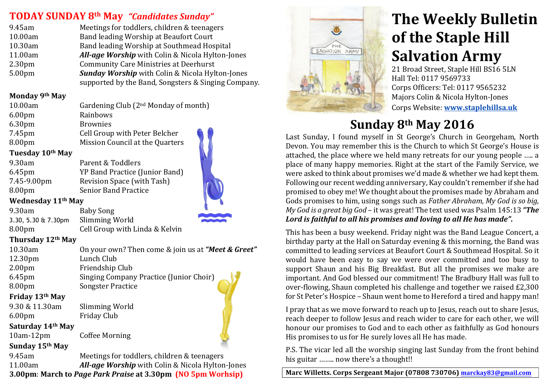### **TODAY SUNDAY 8th May** "Candidates Sunday"

| 9.45am             | Meetings for toddlers, children & teenagers            |
|--------------------|--------------------------------------------------------|
| 10.00am            | Band leading Worship at Beaufort Court                 |
| 10.30am            | Band leading Worship at Southmead Hospital             |
| 11.00am            | All-age Worship with Colin & Nicola Hylton-Jones       |
| 2.30 <sub>pm</sub> | <b>Community Care Ministries at Deerhurst</b>          |
| 5.00pm             | <b>Sunday Worship</b> with Colin & Nicola Hylton-Jones |
|                    | supported by the Band, Songsters & Singing Company.    |
|                    |                                                        |

### **Monday&9th May**

| 10.00am            | Gardening Club $(2nd$ Monday of month) |  |
|--------------------|----------------------------------------|--|
| 6.00 <sub>pm</sub> | Rainbows                               |  |
| 6.30 <sub>pm</sub> | <b>Brownies</b>                        |  |
| 7.45pm             | Cell Group with Peter Belcher          |  |
| 8.00 <sub>pm</sub> | Mission Council at the Quarters        |  |
|                    |                                        |  |

### **Tuesday&10th May**

| 9.30am             | Parent & Toddlers              |
|--------------------|--------------------------------|
| 6.45 <sub>pm</sub> | YP Band Practice (Junior Band) |
| 7.45-9.00pm        | Revision Space (with Tash)     |
| 8.00 <sub>pm</sub> | <b>Senior Band Practice</b>    |

### **Wednesday&11th May**

9.30am Baby'Song' 3.30, 5.30 & 7.30pm Slimming'World 8.00pm Cell Group with Linda & Kelvin

### **Thursday&12th May**

| On your own? Then come & join us at "Meet & Greet" |
|----------------------------------------------------|
| Lunch Club                                         |
| Friendship Club                                    |
| <b>Singing Company Practice (Junior Choir)</b>     |
| <b>Songster Practice</b>                           |
|                                                    |
| Slimming World                                     |
|                                                    |

6.00pm Friday'Club **Saturday&14th May**

10am-12pm Coffee Morning

### **Sunday&15th May**

9.45am Meetings for toddlers, children & teenagers 11.00am *All-age Worship* with Colin & Nicola Hylton-Jones **3.00pm: March to Page Park Praise at 3.30pm (NO 5pm Worhsip)** 



# **The Weekly Bulletin of the Staple Hill Salvation Army**

21 Broad Street, Staple Hill BS16 5LN Hall Tel: 0117 9569733 Corps Officers: Tel: 0117 9565232 Majors Colin & Nicola Hylton-Jones ''''' Corps'Website: **www.staplehillsa.uk**

## **Sunday&8th May 2016**

Last Sunday, I found myself in St George's Church in Georgeham, North Devon. You may remember this is the Church to which St George's House is attached, the place where we held many retreats for our young people ..... a place of many happy memories. Right at the start of the Family Service, we were asked to think about promises we'd made & whether we had kept them. Following our recent wedding anniversary, Kay couldn't remember if she had promised to obey me! We thought about the promises made by Abraham and Gods promises to him, using songs such as *Father Abraham, My God is so big, My God is a great big God* – it was great! The text used was Psalm 145:13 "The Lord is faithful to all his promises and loving to all He has made".

This has been a busy weekend. Friday night was the Band League Concert, a birthday party at the Hall on Saturday evening & this morning, the Band was committed to leading services at Beaufort Court & Southmead Hospital. So it would have been easy to say we were over committed and too busy to support Shaun and his Big Breakfast. But all the promises we make are important. And God blessed our commitment! The Bradbury Hall was full to over-flowing, Shaun completed his challenge and together we raised £2,300 for St Peter's Hospice – Shaun went home to Hereford a tired and happy man!

I pray that as we move forward to reach up to Jesus, reach out to share Jesus, reach deeper to follow Jesus and reach wider to care for each other, we will honour our promises to God and to each other as faithfully as God honours' His promises to us for He surely loves all He has made.

P.S. The vicar led all the worship singing last Sunday from the front behind his guitar ........ now there's a thought!!

Marc Willetts. Corps Sergeant Major (07808 730706) marckay83@gmail.com